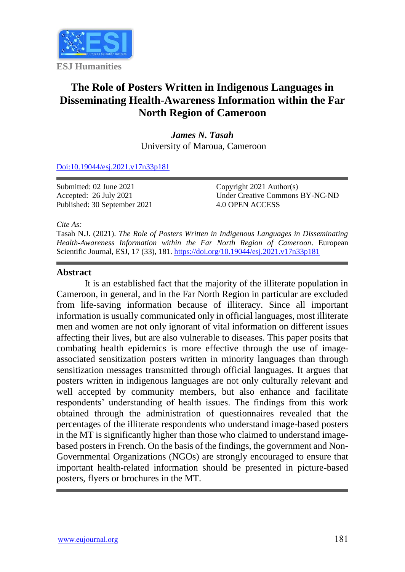

# **The Role of Posters Written in Indigenous Languages in Disseminating Health-Awareness Information within the Far North Region of Cameroon**

*James N. Tasah* University of Maroua, Cameroon

[Doi:10.19044/esj.2021.v17n33p181](https://doi.org/10.19044/esj.2021.v17n33p181)

Submitted: 02 June 2021 Accepted: 26 July 2021 Published: 30 September 2021 Copyright 2021 Author(s) Under Creative Commons BY-NC-ND 4.0 OPEN ACCESS

*Cite As:*

Tasah N.J. (2021). *The Role of Posters Written in Indigenous Languages in Disseminating Health-Awareness Information within the Far North Region of Cameroon.* European Scientific Journal, ESJ, 17 (33), 181. <https://doi.org/10.19044/esj.2021.v17n33p181>

#### **Abstract**

It is an established fact that the majority of the illiterate population in Cameroon, in general, and in the Far North Region in particular are excluded from life-saving information because of illiteracy. Since all important information is usually communicated only in official languages, most illiterate men and women are not only ignorant of vital information on different issues affecting their lives, but are also vulnerable to diseases. This paper posits that combating health epidemics is more effective through the use of imageassociated sensitization posters written in minority languages than through sensitization messages transmitted through official languages. It argues that posters written in indigenous languages are not only culturally relevant and well accepted by community members, but also enhance and facilitate respondents' understanding of health issues. The findings from this work obtained through the administration of questionnaires revealed that the percentages of the illiterate respondents who understand image-based posters in the MT is significantly higher than those who claimed to understand imagebased posters in French. On the basis of the findings, the government and Non-Governmental Organizations (NGOs) are strongly encouraged to ensure that important health-related information should be presented in picture-based posters, flyers or brochures in the MT.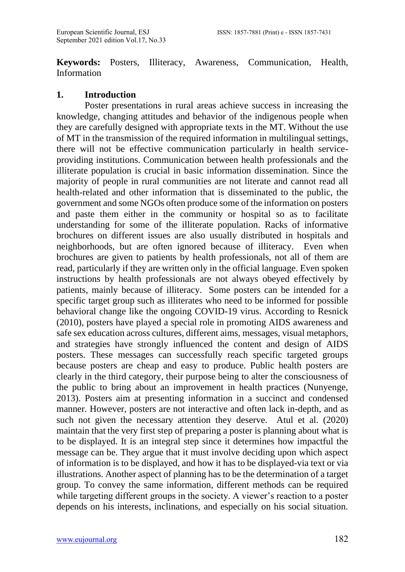**Keywords:** Posters, Illiteracy, Awareness, Communication, Health, Information

#### **1. Introduction**

 Poster presentations in rural areas achieve success in increasing the knowledge, changing attitudes and behavior of the indigenous people when they are carefully designed with appropriate texts in the MT. Without the use of MT in the transmission of the required information in multilingual settings, there will not be effective communication particularly in health serviceproviding institutions. Communication between health professionals and the illiterate population is crucial in basic information dissemination. Since the majority of people in rural communities are not literate and cannot read all health-related and other information that is disseminated to the public, the government and some NGOs often produce some of the information on posters and paste them either in the community or hospital so as to facilitate understanding for some of the illiterate population. Racks of informative brochures on different issues are also usually distributed in hospitals and neighborhoods, but are often ignored because of illiteracy. Even when brochures are given to patients by health professionals, not all of them are read, particularly if they are written only in the official language. Even spoken instructions by health professionals are not always obeyed effectively by patients, mainly because of illiteracy. Some posters can be intended for a specific target group such as illiterates who need to be informed for possible behavioral change like the ongoing COVID-19 virus. According to Resnick (2010), posters have played a special role in promoting AIDS awareness and safe sex education across cultures, different aims, messages, visual metaphors, and strategies have strongly influenced the content and design of AIDS posters. These messages can successfully reach specific targeted groups because posters are cheap and easy to produce. Public health posters are clearly in the third category, their purpose being to alter the consciousness of the public to bring about an improvement in health practices (Nunyenge, 2013). Posters aim at presenting information in a succinct and condensed manner. However, posters are not interactive and often lack in-depth, and as such not given the necessary attention they deserve. Atul et al. (2020) maintain that the very first step of preparing a poster is planning about what is to be displayed. It is an integral step since it determines how impactful the message can be. They argue that it must involve deciding upon which aspect of information is to be displayed, and how it has to be displayed-via text or via illustrations. Another aspect of planning has to be the determination of a target group. To convey the same information, different methods can be required while targeting different groups in the society. A viewer's reaction to a poster depends on his interests, inclinations, and especially on his social situation.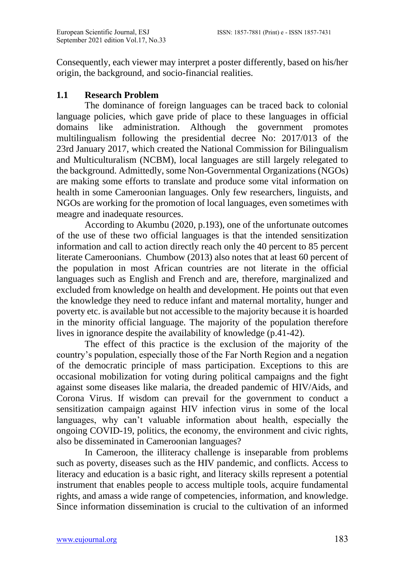Consequently, each viewer may interpret a poster differently, based on his/her origin, the background, and socio-financial realities.

# **1.1 Research Problem**

The dominance of foreign languages can be traced back to colonial language policies, which gave pride of place to these languages in official domains like administration. Although the government promotes multilingualism following the presidential decree No: 2017/013 of the 23rd January 2017, which created the National Commission for Bilingualism and Multiculturalism (NCBM), local languages are still largely relegated to the background. Admittedly, some Non-Governmental Organizations (NGOs) are making some efforts to translate and produce some vital information on health in some Cameroonian languages. Only few researchers, linguists, and NGOs are working for the promotion of local languages, even sometimes with meagre and inadequate resources.

According to Akumbu (2020, p.193), one of the unfortunate outcomes of the use of these two official languages is that the intended sensitization information and call to action directly reach only the 40 percent to 85 percent literate Cameroonians. Chumbow (2013) also notes that at least 60 percent of the population in most African countries are not literate in the official languages such as English and French and are, therefore, marginalized and excluded from knowledge on health and development. He points out that even the knowledge they need to reduce infant and maternal mortality, hunger and poverty etc. is available but not accessible to the majority because it is hoarded in the minority official language. The majority of the population therefore lives in ignorance despite the availability of knowledge (p.41-42).

The effect of this practice is the exclusion of the majority of the country's population, especially those of the Far North Region and a negation of the democratic principle of mass participation. Exceptions to this are occasional mobilization for voting during political campaigns and the fight against some diseases like malaria, the dreaded pandemic of HIV/Aids, and Corona Virus. If wisdom can prevail for the government to conduct a sensitization campaign against HIV infection virus in some of the local languages, why can't valuable information about health, especially the ongoing COVID-19, politics, the economy, the environment and civic rights, also be disseminated in Cameroonian languages?

In Cameroon, the illiteracy challenge is inseparable from problems such as poverty, diseases such as the HIV pandemic, and conflicts. Access to literacy and education is a basic right, and literacy skills represent a potential instrument that enables people to access multiple tools, acquire fundamental rights, and amass a wide range of competencies, information, and knowledge. Since information dissemination is crucial to the cultivation of an informed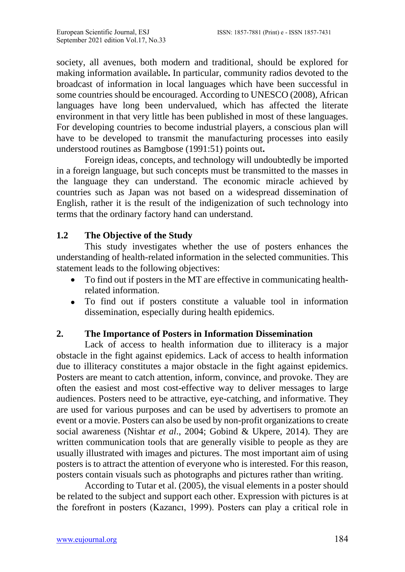society, all avenues, both modern and traditional, should be explored for making information available**.** In particular, community radios devoted to the broadcast of information in local languages which have been successful in some countries should be encouraged. According to UNESCO (2008), African languages have long been undervalued, which has affected the literate environment in that very little has been published in most of these languages. For developing countries to become industrial players, a conscious plan will have to be developed to transmit the manufacturing processes into easily understood routines as Bamgbose (1991:51) points out**.** 

Foreign ideas, concepts, and technology will undoubtedly be imported in a foreign language, but such concepts must be transmitted to the masses in the language they can understand. The economic miracle achieved by countries such as Japan was not based on a widespread dissemination of English, rather it is the result of the indigenization of such technology into terms that the ordinary factory hand can understand.

# **1.2 The Objective of the Study**

This study investigates whether the use of posters enhances the understanding of health-related information in the selected communities. This statement leads to the following objectives:

- To find out if posters in the MT are effective in communicating healthrelated information.
- To find out if posters constitute a valuable tool in information dissemination, especially during health epidemics.

# **2. The Importance of Posters in Information Dissemination**

Lack of access to health information due to illiteracy is a major obstacle in the fight against epidemics. Lack of access to health information due to illiteracy constitutes a major obstacle in the fight against epidemics. Posters are meant to catch attention, inform, convince, and provoke. They are often the easiest and most cost-effective way to deliver messages to large audiences. Posters need to be attractive, eye-catching, and informative. They are used for various purposes and can be used by advertisers to promote an event or a movie. Posters can also be used by non-profit organizations to create social awareness (Nishtar *et al*., 2004; Gobind & Ukpere, 2014). They are written communication tools that are generally visible to people as they are usually illustrated with images and pictures. The most important aim of using posters is to attract the attention of everyone who is interested. For this reason, posters contain visuals such as photographs and pictures rather than writing.

According to Tutar et al. (2005), the visual elements in a poster should be related to the subject and support each other. Expression with pictures is at the forefront in posters (Kazancı, 1999). Posters can play a critical role in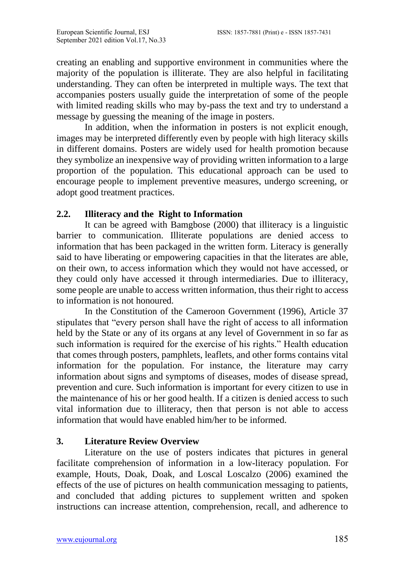creating an enabling and supportive environment in communities where the majority of the population is illiterate. They are also helpful in facilitating understanding. They can often be interpreted in multiple ways. The text that accompanies posters usually guide the interpretation of some of the people with limited reading skills who may by-pass the text and try to understand a message by guessing the meaning of the image in posters.

In addition, when the information in posters is not explicit enough, images may be interpreted differently even by people with high literacy skills in different domains. Posters are widely used for health promotion because they symbolize an inexpensive way of providing written information to a large proportion of the population. This educational approach can be used to encourage people to implement preventive measures, undergo screening, or adopt good treatment practices.

## **2.2. Illiteracy and the Right to Information**

It can be agreed with Bamgbose (2000) that illiteracy is a linguistic barrier to communication. Illiterate populations are denied access to information that has been packaged in the written form. Literacy is generally said to have liberating or empowering capacities in that the literates are able, on their own, to access information which they would not have accessed, or they could only have accessed it through intermediaries. Due to illiteracy, some people are unable to access written information, thus their right to access to information is not honoured.

In the Constitution of the Cameroon Government (1996), Article 37 stipulates that "every person shall have the right of access to all information held by the State or any of its organs at any level of Government in so far as such information is required for the exercise of his rights." Health education that comes through posters, pamphlets, leaflets, and other forms contains vital information for the population. For instance, the literature may carry information about signs and symptoms of diseases, modes of disease spread, prevention and cure. Such information is important for every citizen to use in the maintenance of his or her good health. If a citizen is denied access to such vital information due to illiteracy, then that person is not able to access information that would have enabled him/her to be informed.

## **3. Literature Review Overview**

 Literature on the use of posters indicates that pictures in general facilitate comprehension of information in a low-literacy population. For example, Houts, Doak, Doak, and Loscal Loscalzo (2006) examined the effects of the use of pictures on health communication messaging to patients, and concluded that adding pictures to supplement written and spoken instructions can increase attention, comprehension, recall, and adherence to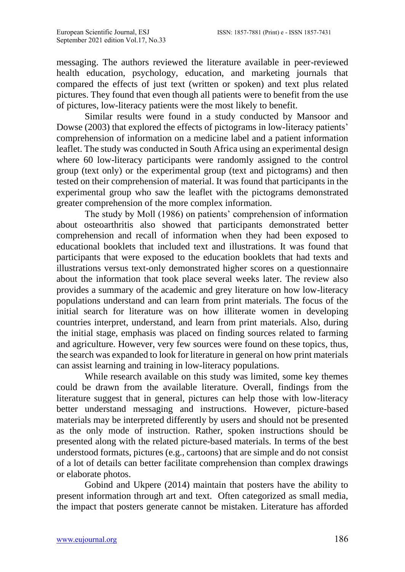messaging. The authors reviewed the literature available in peer-reviewed health education, psychology, education, and marketing journals that compared the effects of just text (written or spoken) and text plus related pictures. They found that even though all patients were to benefit from the use of pictures, low-literacy patients were the most likely to benefit.

Similar results were found in a study conducted by Mansoor and Dowse (2003) that explored the effects of pictograms in low-literacy patients' comprehension of information on a medicine label and a patient information leaflet. The study was conducted in South Africa using an experimental design where 60 low-literacy participants were randomly assigned to the control group (text only) or the experimental group (text and pictograms) and then tested on their comprehension of material. It was found that participants in the experimental group who saw the leaflet with the pictograms demonstrated greater comprehension of the more complex information.

The study by Moll (1986) on patients' comprehension of information about osteoarthritis also showed that participants demonstrated better comprehension and recall of information when they had been exposed to educational booklets that included text and illustrations. It was found that participants that were exposed to the education booklets that had texts and illustrations versus text-only demonstrated higher scores on a questionnaire about the information that took place several weeks later. The review also provides a summary of the academic and grey literature on how low-literacy populations understand and can learn from print materials. The focus of the initial search for literature was on how illiterate women in developing countries interpret, understand, and learn from print materials. Also, during the initial stage, emphasis was placed on finding sources related to farming and agriculture. However, very few sources were found on these topics, thus, the search was expanded to look for literature in general on how print materials can assist learning and training in low-literacy populations.

While research available on this study was limited, some key themes could be drawn from the available literature. Overall, findings from the literature suggest that in general, pictures can help those with low-literacy better understand messaging and instructions. However, picture-based materials may be interpreted differently by users and should not be presented as the only mode of instruction. Rather, spoken instructions should be presented along with the related picture-based materials. In terms of the best understood formats, pictures (e.g., cartoons) that are simple and do not consist of a lot of details can better facilitate comprehension than complex drawings or elaborate photos.

Gobind and Ukpere (2014) maintain that posters have the ability to present information through art and text. Often categorized as small media, the impact that posters generate cannot be mistaken. Literature has afforded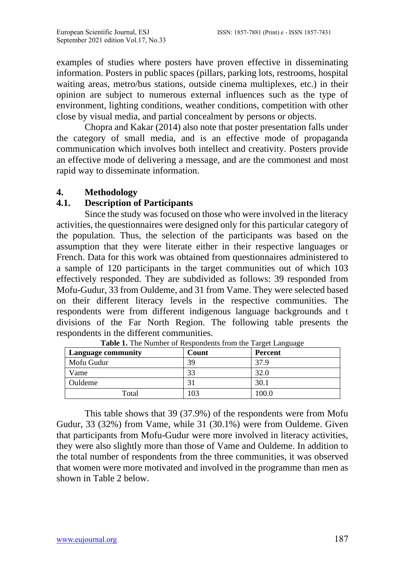examples of studies where posters have proven effective in disseminating information. Posters in public spaces (pillars, parking lots, restrooms, hospital waiting areas, metro/bus stations, outside cinema multiplexes, etc.) in their opinion are subject to numerous external influences such as the type of environment, lighting conditions, weather conditions, competition with other close by visual media, and partial concealment by persons or objects.

Chopra and Kakar (2014) also note that poster presentation falls under the category of small media, and is an effective mode of propaganda communication which involves both intellect and creativity. Posters provide an effective mode of delivering a message, and are the commonest and most rapid way to disseminate information.

# **4. Methodology**

# **4.1. Description of Participants**

Since the study was focused on those who were involved in the literacy activities, the questionnaires were designed only for this particular category of the population. Thus, the selection of the participants was based on the assumption that they were literate either in their respective languages or French. Data for this work was obtained from questionnaires administered to a sample of 120 participants in the target communities out of which 103 effectively responded. They are subdivided as follows: 39 responded from Mofu-Gudur, 33 from Ouldeme, and 31 from Vame. They were selected based on their different literacy levels in the respective communities. The respondents were from different indigenous language backgrounds and t divisions of the Far North Region. The following table presents the respondents in the different communities.

| <b>Language community</b> | Count | <u>.</u><br>Percent |
|---------------------------|-------|---------------------|
| Mofu Gudur                | 39    | 37.9                |
| Vame                      | 33    | 32.0                |
| Ouldeme                   | ЭI    | 30.1                |
| Total                     | 03    | .00.0               |

**Table 1.** The Number of Respondents from the Target Language

This table shows that 39 (37.9%) of the respondents were from Mofu Gudur, 33 (32%) from Vame, while 31 (30.1%) were from Ouldeme. Given that participants from Mofu-Gudur were more involved in literacy activities, they were also slightly more than those of Vame and Ouldeme. In addition to the total number of respondents from the three communities, it was observed that women were more motivated and involved in the programme than men as shown in Table 2 below.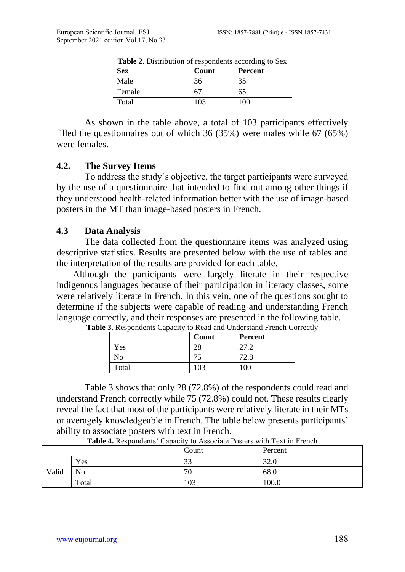| <b>Table 2.</b> Distribution of respondents according to be $\Lambda$ |       |         |  |
|-----------------------------------------------------------------------|-------|---------|--|
| <b>Sex</b>                                                            | Count | Percent |  |
| Male                                                                  | 36    | 35      |  |
| Female                                                                | 6.    | 65      |  |
| Total                                                                 | 103   | 100     |  |

**Table 2.** Distribution of respondents according to Sex

As shown in the table above, a total of 103 participants effectively filled the questionnaires out of which 36 (35%) were males while 67 (65%) were females.

#### **4.2. The Survey Items**

To address the study's objective, the target participants were surveyed by the use of a questionnaire that intended to find out among other things if they understood health-related information better with the use of image-based posters in the MT than image-based posters in French.

#### **4.3 Data Analysis**

The data collected from the questionnaire items was analyzed using descriptive statistics. Results are presented below with the use of tables and the interpretation of the results are provided for each table.

 Although the participants were largely literate in their respective indigenous languages because of their participation in literacy classes, some were relatively literate in French. In this vein, one of the questions sought to determine if the subjects were capable of reading and understanding French language correctly, and their responses are presented in the following table.

|       | Count | Percent |
|-------|-------|---------|
| Yes   | 28    | 27.2    |
| No    |       | 72.8    |
| Total | 103   | 100     |

**Table 3.** Respondents Capacity to Read and Understand French Correctly

Table 3 shows that only 28 (72.8%) of the respondents could read and understand French correctly while 75 (72.8%) could not. These results clearly reveal the fact that most of the participants were relatively literate in their MTs or averagely knowledgeable in French. The table below presents participants' ability to associate posters with text in French.

|       |                | Count               | Percent |  |
|-------|----------------|---------------------|---------|--|
|       | Yes            | $\mathcal{D}$<br>ээ | 32.0    |  |
| Valid | N <sub>0</sub> | 70                  | 68.0    |  |
|       | Total          | 103                 | 100.0   |  |

**Table 4.** Respondents' Capacity to Associate Posters with Text in French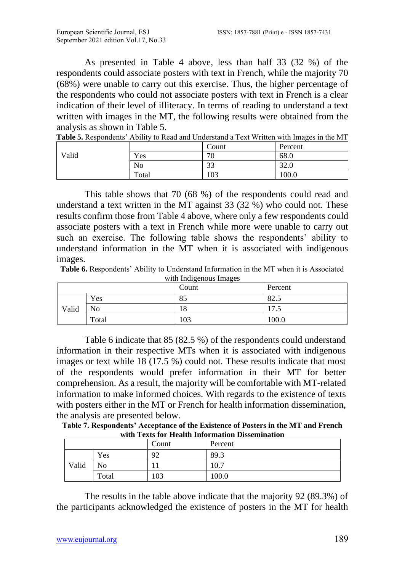As presented in Table 4 above, less than half 33 (32 %) of the respondents could associate posters with text in French, while the majority 70 (68%) were unable to carry out this exercise. Thus, the higher percentage of the respondents who could not associate posters with text in French is a clear indication of their level of illiteracy. In terms of reading to understand a text written with images in the MT, the following results were obtained from the analysis as shown in Table 5.

|  |  | <b>Table 5.</b> Respondents' Ability to Read and Understand a Text Written with Images in the MT |
|--|--|--------------------------------------------------------------------------------------------------|
|  |  |                                                                                                  |

|       |       | Count        | Percent     |
|-------|-------|--------------|-------------|
| Valid | Yes   | 70<br>υ      | 68.0        |
|       | No    | $\cap$<br>JJ | 220<br>34.U |
|       | Total | 103          | 100.0       |

This table shows that 70 (68 %) of the respondents could read and understand a text written in the MT against 33 (32 %) who could not. These results confirm those from Table 4 above, where only a few respondents could associate posters with a text in French while more were unable to carry out such an exercise. The following table shows the respondents' ability to understand information in the MT when it is associated with indigenous images.

**Table 6.** Respondents' Ability to Understand Information in the MT when it is Associated with Indigenous Images

| with murgenous mages<br>Count<br>Percent |       |     |           |
|------------------------------------------|-------|-----|-----------|
|                                          | Yes   | 85  | 82.5      |
| Valid                                    | No    | 18  | 7<br>ر. ا |
|                                          | Total | 103 | 100.0     |

 Table 6 indicate that 85 (82.5 %) of the respondents could understand information in their respective MTs when it is associated with indigenous images or text while 18 (17.5 %) could not. These results indicate that most of the respondents would prefer information in their MT for better comprehension. As a result, the majority will be comfortable with MT-related information to make informed choices. With regards to the existence of texts with posters either in the MT or French for health information dissemination, the analysis are presented below.

**Table 7. Respondents' Acceptance of the Existence of Posters in the MT and French with Texts for Health Information Dissemination**

|       |       | Count | Percent |
|-------|-------|-------|---------|
|       | Yes   | 92    | 89.3    |
| Valid | No    |       | 10.7    |
|       | Total | 103   | 100.0   |

The results in the table above indicate that the majority 92 (89.3%) of the participants acknowledged the existence of posters in the MT for health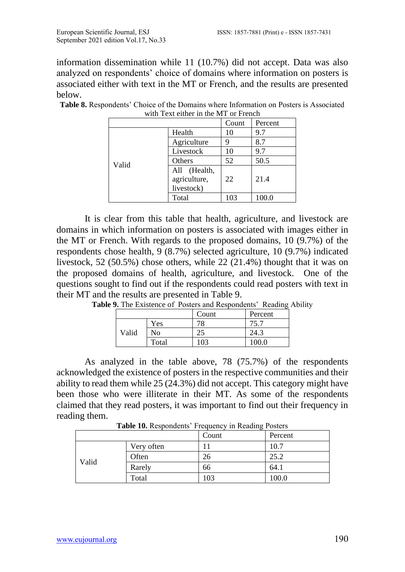information dissemination while 11 (10.7%) did not accept. Data was also analyzed on respondents' choice of domains where information on posters is associated either with text in the MT or French, and the results are presented below.

|       | Count                                      | Percent |       |
|-------|--------------------------------------------|---------|-------|
|       |                                            |         |       |
|       | Health                                     | 10      | 9.7   |
|       | Agriculture                                |         | 8.7   |
|       | Livestock                                  | 10      | 9.7   |
| Valid | Others                                     | 52      | 50.5  |
|       | All (Health,<br>agriculture,<br>livestock) | 22      | 21.4  |
|       | Total                                      | 103     | 100.0 |

**Table 8.** Respondents' Choice of the Domains where Information on Posters is Associated with Text either in the MT or French

It is clear from this table that health, agriculture, and livestock are domains in which information on posters is associated with images either in the MT or French. With regards to the proposed domains, 10 (9.7%) of the respondents chose health, 9 (8.7%) selected agriculture, 10 (9.7%) indicated livestock, 52 (50.5%) chose others, while 22 (21.4%) thought that it was on the proposed domains of health, agriculture, and livestock. One of the questions sought to find out if the respondents could read posters with text in their MT and the results are presented in Table 9.

|       |       | Count | Percent |
|-------|-------|-------|---------|
|       | Yes   | 70    |         |
| Valid | No    | 25    | 24.3    |
|       | Total | 103   | 100 O   |

Table 9. The Existence of Posters and Respondents' Reading Ability

As analyzed in the table above, 78 (75.7%) of the respondents acknowledged the existence of posters in the respective communities and their ability to read them while 25 (24.3%) did not accept. This category might have been those who were illiterate in their MT. As some of the respondents claimed that they read posters, it was important to find out their frequency in reading them.

**Table 10.** Respondents' Frequency in Reading Posters

|       |            | Count | Percent |
|-------|------------|-------|---------|
|       | Very often |       | 10.7    |
|       | Often      | 26    | 25.2    |
| Valid | Rarely     | 66    | 64.1    |
|       | Total      | 103   | 100.0   |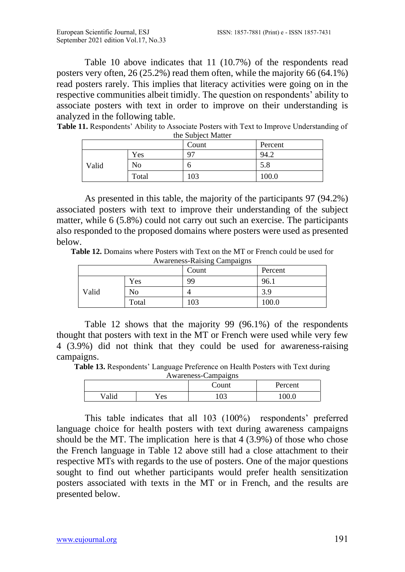Table 10 above indicates that 11 (10.7%) of the respondents read posters very often, 26 (25.2%) read them often, while the majority 66 (64.1%) read posters rarely. This implies that literacy activities were going on in the respective communities albeit timidly. The question on respondents' ability to associate posters with text in order to improve on their understanding is analyzed in the following table.

**Table 11.** Respondents' Ability to Associate Posters with Text to Improve Understanding of the Subject Matter

| Count<br>Percent |       |                |              |
|------------------|-------|----------------|--------------|
|                  | Yes   | Q <sub>7</sub> | 94. $\angle$ |
| Valid            | No    |                | 5.8          |
|                  | Total | 103            | 100.0        |

As presented in this table, the majority of the participants 97 (94.2%) associated posters with text to improve their understanding of the subject matter, while 6 (5.8%) could not carry out such an exercise. The participants also responded to the proposed domains where posters were used as presented below.

**Table 12.** Domains where Posters with Text on the MT or French could be used for Awareness-Raising Campaigns

|       |       | Count | Percent |
|-------|-------|-------|---------|
|       | Yes   | 99    | 96.1    |
| Valid | No    |       | 3.9     |
|       | Total | 103   | 100.0   |

Table 12 shows that the majority 99 (96.1%) of the respondents thought that posters with text in the MT or French were used while very few 4 (3.9%) did not think that they could be used for awareness-raising campaigns.

**Table 13.** Respondents' Language Preference on Health Posters with Text during

| Awareness-Campaigns |     |       |         |  |  |
|---------------------|-----|-------|---------|--|--|
|                     |     | Count | Percent |  |  |
| /alid               | 7es | .03   | 100.0   |  |  |

This table indicates that all 103 (100%) respondents' preferred language choice for health posters with text during awareness campaigns should be the MT. The implication here is that  $4(3.9%)$  of those who chose the French language in Table 12 above still had a close attachment to their respective MTs with regards to the use of posters. One of the major questions sought to find out whether participants would prefer health sensitization posters associated with texts in the MT or in French, and the results are presented below.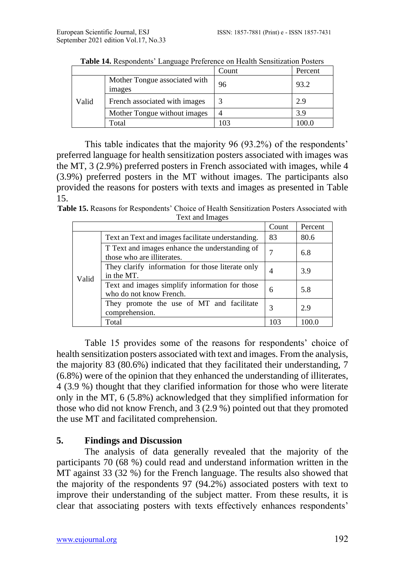|       |                                                | Count | Percent |
|-------|------------------------------------------------|-------|---------|
| Valid | Mother Tongue associated with<br><i>images</i> | 96    | 93.2    |
|       | French associated with images                  |       | 2.9     |
|       | Mother Tongue without images                   |       | 3.9     |
|       | Total                                          | 03،   | 00.0    |

**Table 14.** Respondents' Language Preference on Health Sensitization Posters

This table indicates that the majority 96 (93.2%) of the respondents' preferred language for health sensitization posters associated with images was the MT, 3 (2.9%) preferred posters in French associated with images, while 4 (3.9%) preferred posters in the MT without images. The participants also provided the reasons for posters with texts and images as presented in Table 15.

**Table 15.** Reasons for Respondents' Choice of Health Sensitization Posters Associated with Text and Images

|       |                                                                              | Count | Percent |
|-------|------------------------------------------------------------------------------|-------|---------|
| Valid | Text an Text and images facilitate understanding.                            | 83    | 80.6    |
|       | T Text and images enhance the understanding of<br>those who are illiterates. |       | 6.8     |
|       | They clarify information for those literate only<br>in the MT.               | 4     | 3.9     |
|       | Text and images simplify information for those<br>who do not know French.    | 6     | 5.8     |
|       | They promote the use of MT and facilitate<br>comprehension.                  | 3     | 2.9     |
|       | Total                                                                        | 103   | 100.0   |

Table 15 provides some of the reasons for respondents' choice of health sensitization posters associated with text and images. From the analysis, the majority 83 (80.6%) indicated that they facilitated their understanding, 7 (6.8%) were of the opinion that they enhanced the understanding of illiterates, 4 (3.9 %) thought that they clarified information for those who were literate only in the MT, 6 (5.8%) acknowledged that they simplified information for those who did not know French, and 3 (2.9 %) pointed out that they promoted the use MT and facilitated comprehension.

# **5. Findings and Discussion**

 The analysis of data generally revealed that the majority of the participants 70 (68 %) could read and understand information written in the MT against 33 (32 %) for the French language. The results also showed that the majority of the respondents 97 (94.2%) associated posters with text to improve their understanding of the subject matter. From these results, it is clear that associating posters with texts effectively enhances respondents'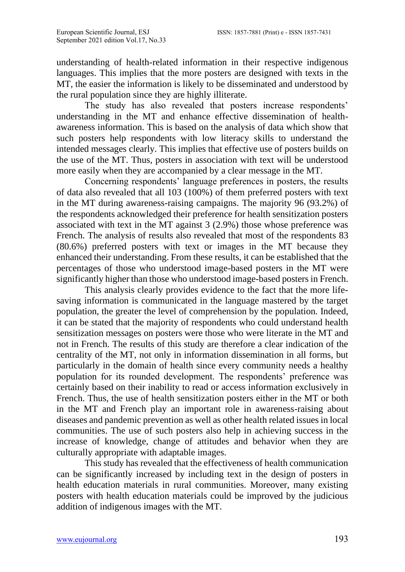understanding of health-related information in their respective indigenous languages. This implies that the more posters are designed with texts in the MT, the easier the information is likely to be disseminated and understood by the rural population since they are highly illiterate.

The study has also revealed that posters increase respondents' understanding in the MT and enhance effective dissemination of healthawareness information. This is based on the analysis of data which show that such posters help respondents with low literacy skills to understand the intended messages clearly. This implies that effective use of posters builds on the use of the MT. Thus, posters in association with text will be understood more easily when they are accompanied by a clear message in the MT.

 Concerning respondents' language preferences in posters, the results of data also revealed that all 103 (100%) of them preferred posters with text in the MT during awareness-raising campaigns. The majority 96 (93.2%) of the respondents acknowledged their preference for health sensitization posters associated with text in the MT against 3 (2.9%) those whose preference was French. The analysis of results also revealed that most of the respondents 83 (80.6%) preferred posters with text or images in the MT because they enhanced their understanding. From these results, it can be established that the percentages of those who understood image-based posters in the MT were significantly higher than those who understood image-based posters in French.

 This analysis clearly provides evidence to the fact that the more lifesaving information is communicated in the language mastered by the target population, the greater the level of comprehension by the population*.* Indeed, it can be stated that the majority of respondents who could understand health sensitization messages on posters were those who were literate in the MT and not in French. The results of this study are therefore a clear indication of the centrality of the MT, not only in information dissemination in all forms, but particularly in the domain of health since every community needs a healthy population for its rounded development. The respondents' preference was certainly based on their inability to read or access information exclusively in French. Thus, the use of health sensitization posters either in the MT or both in the MT and French play an important role in awareness-raising about diseases and pandemic prevention as well as other health related issues in local communities. The use of such posters also help in achieving success in the increase of knowledge, change of attitudes and behavior when they are culturally appropriate with adaptable images.

This study has revealed that the effectiveness of health communication can be significantly increased by including text in the design of posters in health education materials in rural communities. Moreover, many existing posters with health education materials could be improved by the judicious addition of indigenous images with the MT.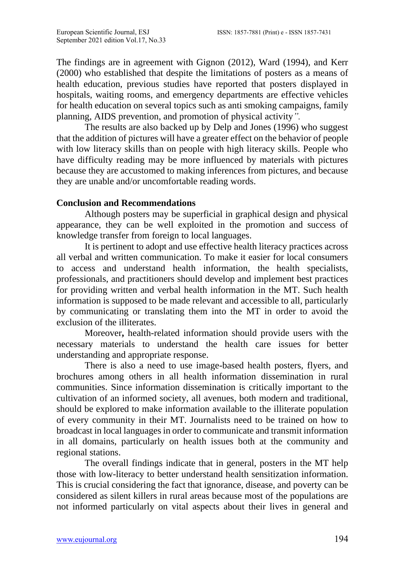The findings are in agreement with Gignon (2012), Ward (1994), and Kerr (2000) who established that despite the limitations of posters as a means of health education, previous studies have reported that posters displayed in hospitals, waiting rooms, and emergency departments are effective vehicles for health education on several topics such as anti smoking campaigns, family planning, AIDS prevention, and promotion of physical activity*".*

 The results are also backed up by Delp and Jones (1996) who suggest that the addition of pictures will have a greater effect on the behavior of people with low literacy skills than on people with high literacy skills. People who have difficulty reading may be more influenced by materials with pictures because they are accustomed to making inferences from pictures, and because they are unable and/or uncomfortable reading words.

## **Conclusion and Recommendations**

 Although posters may be superficial in graphical design and physical appearance, they can be well exploited in the promotion and success of knowledge transfer from foreign to local languages.

 It is pertinent to adopt and use effective health literacy practices across all verbal and written communication. To make it easier for local consumers to access and understand health information, the health specialists, professionals, and practitioners should develop and implement best practices for providing written and verbal health information in the MT. Such health information is supposed to be made relevant and accessible to all, particularly by communicating or translating them into the MT in order to avoid the exclusion of the illiterates.

Moreover**,** health-related information should provide users with the necessary materials to understand the health care issues for better understanding and appropriate response.

There is also a need to use image-based health posters, flyers, and brochures among others in all health information dissemination in rural communities. Since information dissemination is critically important to the cultivation of an informed society, all avenues, both modern and traditional, should be explored to make information available to the illiterate population of every community in their MT. Journalists need to be trained on how to broadcast in local languages in order to communicate and transmit information in all domains, particularly on health issues both at the community and regional stations.

 The overall findings indicate that in general, posters in the MT help those with low-literacy to better understand health sensitization information. This is crucial considering the fact that ignorance, disease, and poverty can be considered as silent killers in rural areas because most of the populations are not informed particularly on vital aspects about their lives in general and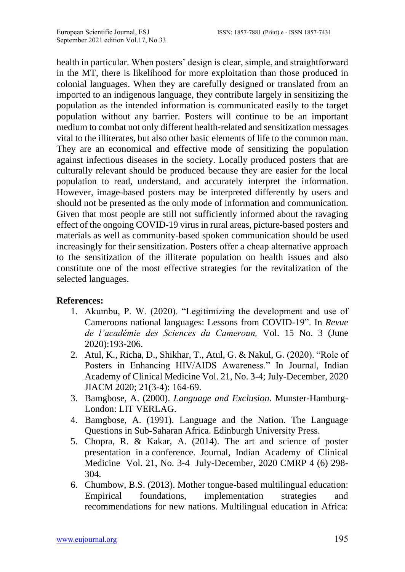health in particular. When posters' design is clear, simple, and straightforward in the MT, there is likelihood for more exploitation than those produced in colonial languages. When they are carefully designed or translated from an imported to an indigenous language, they contribute largely in sensitizing the population as the intended information is communicated easily to the target population without any barrier. Posters will continue to be an important medium to combat not only different health-related and sensitization messages vital to the illiterates, but also other basic elements of life to the common man. They are an economical and effective mode of sensitizing the population against infectious diseases in the society. Locally produced posters that are culturally relevant should be produced because they are easier for the local population to read, understand, and accurately interpret the information. However, image-based posters may be interpreted differently by users and should not be presented as the only mode of information and communication. Given that most people are still not sufficiently informed about the ravaging effect of the ongoing COVID-19 virus in rural areas, picture-based posters and materials as well as community-based spoken communication should be used increasingly for their sensitization. Posters offer a cheap alternative approach to the sensitization of the illiterate population on health issues and also constitute one of the most effective strategies for the revitalization of the selected languages.

## **References:**

- 1. Akumbu, P. W. (2020). "Legitimizing the development and use of Cameroons national languages: Lessons from COVID-19". In *Revue de l'académie des Sciences du Cameroun,* Vol. 15 No. 3 (June 2020):193-206.
- 2. Atul, K., Richa, D., Shikhar, T., Atul, G. & Nakul, G. (2020). "Role of Posters in Enhancing HIV/AIDS Awareness." In Journal, Indian Academy of Clinical Medicine Vol. 21, No. 3-4; July-December, 2020 JIACM 2020; 21(3-4): 164-69.
- 3. Bamgbose, A. (2000). *Language and Exclusion*. Munster-Hamburg-London: LIT VERLAG.
- 4. Bamgbose, A. (1991). Language and the Nation. The Language Questions in Sub-Saharan Africa. Edinburgh University Press.
- 5. Chopra, R. & Kakar, A. (2014). The art and science of poster presentation in a conference. Journal, Indian Academy of Clinical Medicine Vol. 21, No. 3-4 July-December, 2020 CMRP 4 (6) 298- 304.
- 6. Chumbow, B.S. (2013). Mother tongue-based multilingual education: Empirical foundations, implementation strategies and recommendations for new nations. Multilingual education in Africa: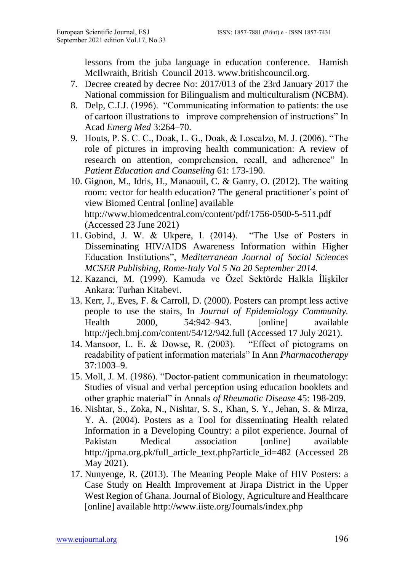lessons from the juba language in education conference. Hamish McIlwraith, British Council 2013. www.britishcouncil.org.

- 7. Decree created by decree No: 2017/013 of the 23rd January 2017 the National commission for Bilingualism and multiculturalism (NCBM).
- 8. Delp, C.J.J. (1996). "Communicating information to patients: the use of cartoon illustrations to improve comprehension of instructions" In Acad *Emerg Med* 3:264–70.
- 9. Houts, P. S. C. C., Doak, L. G., Doak, & Loscalzo, M. J. (2006). "The role of pictures in improving health communication: A review of research on attention, comprehension, recall, and adherence" In *Patient Education and Counseling* 61: 173-190.
- 10. Gignon, M., Idris, H., Manaouil, C. & Ganry, O. (2012). The waiting room: vector for health education? The general practitioner's point of view Biomed Central [online] available http://www.biomedcentral.com/content/pdf/1756-0500-5-511.pdf (Accessed 23 June 2021)
- 11. Gobind, J. W. & Ukpere, I. (2014). "The Use of Posters in Disseminating HIV/AIDS Awareness Information within Higher Education Institutions", *Mediterranean Journal of Social Sciences MCSER Publishing, Rome-Italy Vol 5 No 20 September 2014.*
- 12. Kazanci, M. (1999). Kamuda ve Özel Sektörde Halkla İlişkiler Ankara: Turhan Kitabevi.
- 13. Kerr, J., Eves, F. & Carroll, D. (2000). Posters can prompt less active people to use the stairs, In *Journal of Epidemiology Community.* Health 2000, 54:942–943. [online] available http://jech.bmj.com/content/54/12/942.full (Accessed 17 July 2021).
- 14. Mansoor, L. E. & Dowse, R. (2003). "Effect of pictograms on readability of patient information materials" In Ann *Pharmacotherapy* 37:1003–9.
- 15. Moll, J. M. (1986). "Doctor-patient communication in rheumatology: Studies of visual and verbal perception using education booklets and other graphic material" in Annals *of Rheumatic Disease* 45: 198-209.
- 16. Nishtar, S., Zoka, N., Nishtar, S. S., Khan, S. Y., Jehan, S. & Mirza, Y. A. (2004). Posters as a Tool for disseminating Health related Information in a Developing Country: a pilot experience. Journal of Pakistan Medical association [online] available http://jpma.org.pk/full\_article\_text.php?article\_id=482 (Accessed 28 May 2021).
- 17. Nunyenge, R. (2013). The Meaning People Make of HIV Posters: a Case Study on Health Improvement at Jirapa District in the Upper West Region of Ghana. Journal of Biology, Agriculture and Healthcare [online] available http://www.iiste.org/Journals/index.php